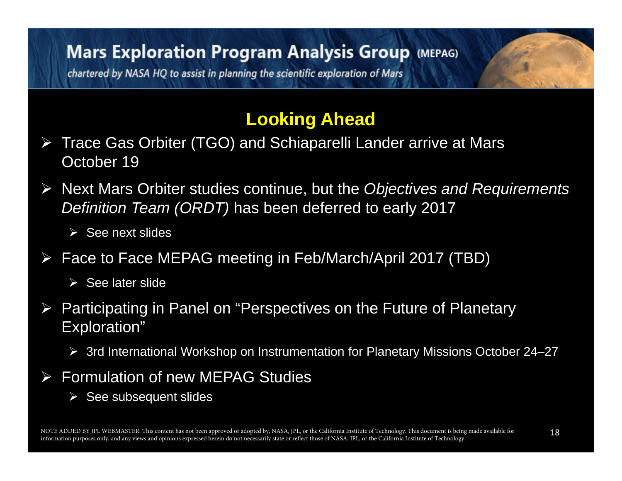### **Mars Exploration Program Analysis Group (MEPAG)**

chartered by NASA HQ to assist in planning the scientific exploration of Mars

### **Looking Ahead**

- Trace Gas Orbiter (TGO) and Schiaparelli Lander arrive at Mars October 19
- Next Mars Orbiter studies continue, but the *Objectives and Requirements Definition Team (ORDT)* has been deferred to early 2017
	- $\triangleright$  See next slides
- Face to Face MEPAG meeting in Feb/March/April 2017 (TBD)
	- $\triangleright$  See later slide
- $\blacktriangleright$  Participating in Panel on "Perspectives on the Future of Planetary Exploration"
	- 3rd International Workshop on Instrumentation for Planetary Missions October 24–27
- $\blacktriangleright$  Formulation of new MEPAG Studies
	- $\triangleright$  See subsequent slides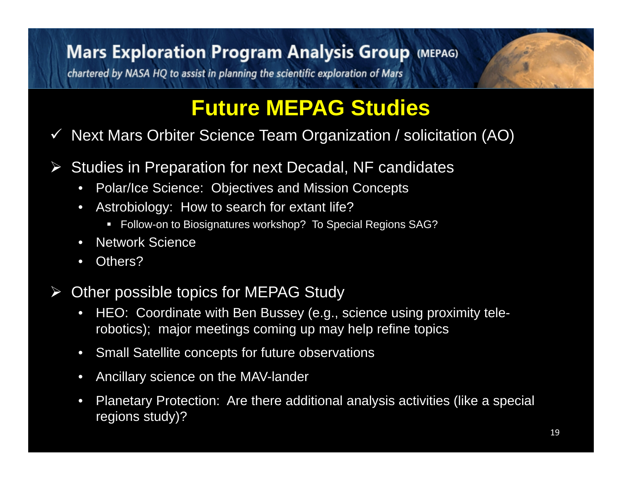### **Mars Exploration Program Analysis Group (MEPAG)**

chartered by NASA HQ to assist in planning the scientific exploration of Mars

# **Future MEPAG Studies**

 $\checkmark$ Next Mars Orbiter Science Team Organization / solicitation (AO)

- $\blacktriangleright$  Studies in Preparation for next Decadal, NF candidates
	- •Polar/Ice Science: Objectives and Mission Concepts
	- $\bullet$  Astrobiology: How to search for extant life?
		- Follow-on to Biosignatures workshop? To Special Regions SAG?
	- $\bullet$ Network Science
	- $\bullet$ Others?
- $\blacktriangleright$  Other possible topics for MEPAG Study
	- $\bullet$  HEO: Coordinate with Ben Bussey (e.g., science using proximity telerobotics); major meetings coming up may help refine topics
	- $\bullet$ Small Satellite concepts for future observations
	- $\bullet$ Ancillary science on the MAV-lander
	- $\bullet$  Planetary Protection: Are there additional analysis activities (like a special regions study)?